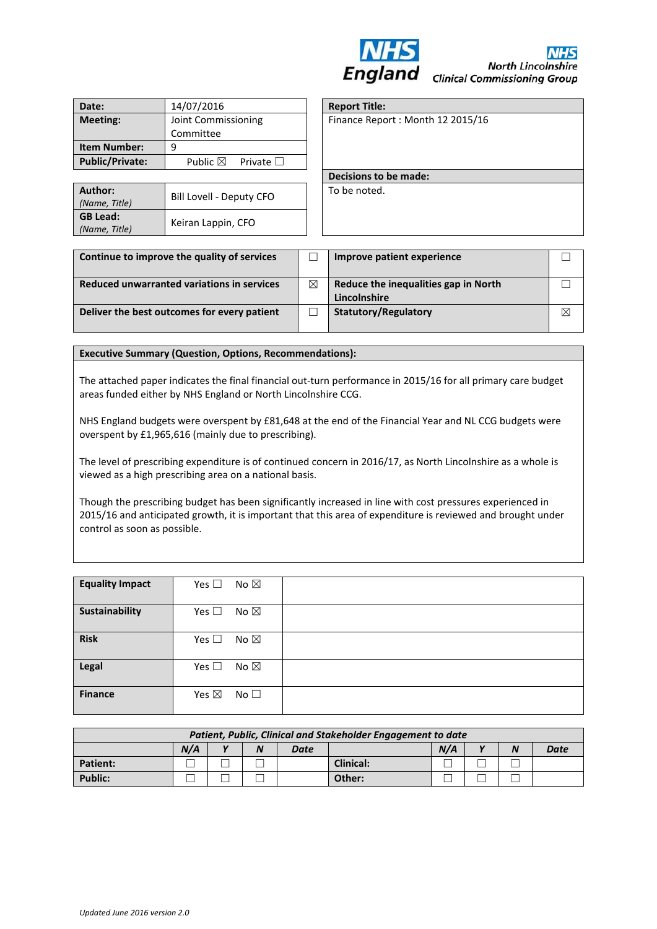

**North Lincolnshire Clinical Commissioning Group** 

| Date:                  | 14/07/2016                              |  |  |  |  |
|------------------------|-----------------------------------------|--|--|--|--|
| <b>Meeting:</b>        | Joint Commissioning                     |  |  |  |  |
|                        | Committee                               |  |  |  |  |
| <b>Item Number:</b>    |                                         |  |  |  |  |
| <b>Public/Private:</b> | Public $\boxtimes$<br>Private $\square$ |  |  |  |  |

| Author:<br>(Name, Title)         | Bill Lovell - Deputy CFO | To be noted. |
|----------------------------------|--------------------------|--------------|
| <b>GB Lead:</b><br>(Name, Title) | Keiran Lappin, CFO       |              |

**Report Title:** Finance Report : Month 12 2015/16

**Decisions to be made:** 

| Continue to improve the quality of services |   | Improve patient experience                           |   |
|---------------------------------------------|---|------------------------------------------------------|---|
| Reduced unwarranted variations in services  | ⊠ | Reduce the inequalities gap in North<br>Lincolnshire |   |
| Deliver the best outcomes for every patient |   | <b>Statutory/Regulatory</b>                          | ⊠ |

#### **Executive Summary (Question, Options, Recommendations):**

The attached paper indicates the final financial out-turn performance in 2015/16 for all primary care budget areas funded either by NHS England or North Lincolnshire CCG.

NHS England budgets were overspent by £81,648 at the end of the Financial Year and NL CCG budgets were overspent by £1,965,616 (mainly due to prescribing).

The level of prescribing expenditure is of continued concern in 2016/17, as North Lincolnshire as a whole is viewed as a high prescribing area on a national basis.

Though the prescribing budget has been significantly increased in line with cost pressures experienced in 2015/16 and anticipated growth, it is important that this area of expenditure is reviewed and brought under control as soon as possible.

| <b>Equality Impact</b> | Yes $\square$<br>No $\boxtimes$ |  |
|------------------------|---------------------------------|--|
| Sustainability         | Yes $\square$<br>No $\boxtimes$ |  |
| <b>Risk</b>            | Yes $\square$<br>No $\boxtimes$ |  |
| <b>Legal</b>           | No $\boxtimes$<br>Yes $\square$ |  |
| <b>Finance</b>         | Yes $\boxtimes$<br>No $\square$ |  |

| Patient, Public, Clinical and Stakeholder Engagement to date |     |              |  |      |                  |     |  |  |             |
|--------------------------------------------------------------|-----|--------------|--|------|------------------|-----|--|--|-------------|
|                                                              | N/A | $\mathbf{v}$ |  | Date |                  | N/A |  |  | <b>Date</b> |
| <b>Patient:</b>                                              |     |              |  |      | <b>Clinical:</b> |     |  |  |             |
| <b>Public:</b>                                               |     |              |  |      | Other:           |     |  |  |             |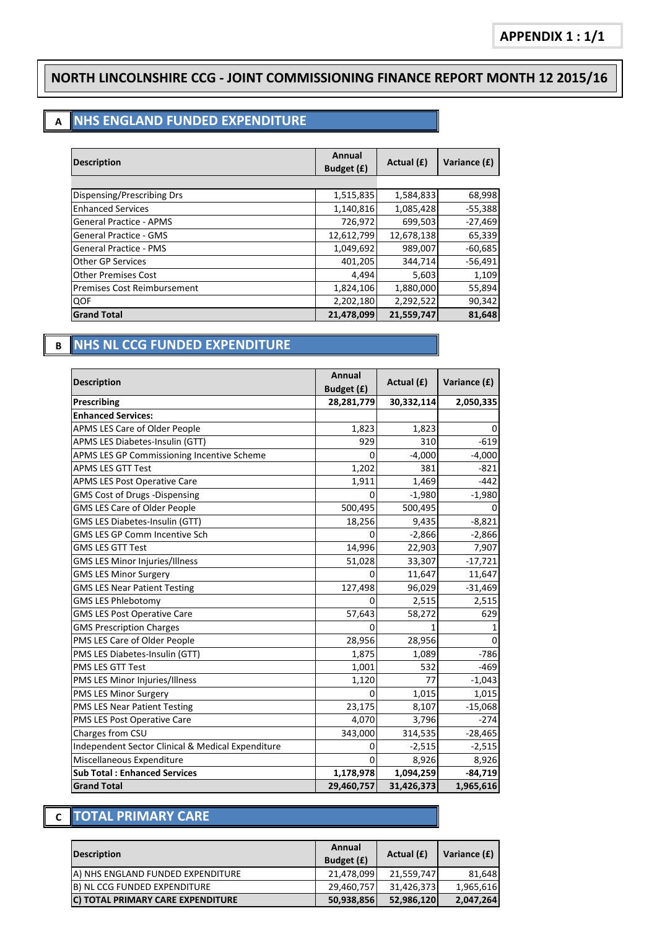#### **NORTH LINCOLNSHIRE CCG - JOINT COMMISSIONING FINANCE REPORT MONTH 12 2015/16**

# **A NHS ENGLAND FUNDED EXPENDITURE**

| <b>Description</b>                 | Annual<br>Budget (£) | Actual (£) | Variance (£) |
|------------------------------------|----------------------|------------|--------------|
|                                    |                      |            |              |
| Dispensing/Prescribing Drs         | 1,515,835            | 1,584,833  | 68,998       |
| <b>Enhanced Services</b>           | 1,140,816            | 1,085,428  | $-55,388$    |
| <b>General Practice - APMS</b>     | 726,972              | 699,503    | $-27,469$    |
| <b>General Practice - GMS</b>      | 12,612,799           | 12,678,138 | 65,339       |
| <b>General Practice - PMS</b>      | 1,049,692            | 989,007    | $-60,685$    |
| <b>Other GP Services</b>           | 401,205              | 344,714    | $-56,491$    |
| <b>Other Premises Cost</b>         | 4,494                | 5,603      | 1,109        |
| <b>Premises Cost Reimbursement</b> | 1,824,106            | 1,880,000  | 55,894       |
| QOF                                | 2,202,180            | 2,292,522  | 90,342       |
| <b>Grand Total</b>                 | 21,478,099           | 21,559,747 | 81,648       |

### **B NHS NL CCG FUNDED EXPENDITURE**

| <b>Description</b>                                | Annual<br>Budget (£) | Actual (£) | Variance (£) |
|---------------------------------------------------|----------------------|------------|--------------|
| Prescribing                                       | 28,281,779           | 30,332,114 | 2,050,335    |
| <b>Enhanced Services:</b>                         |                      |            |              |
| APMS LES Care of Older People                     | 1,823                | 1,823      | 0            |
| APMS LES Diabetes-Insulin (GTT)                   | 929                  | 310        | $-619$       |
| APMS LES GP Commissioning Incentive Scheme        | $\Omega$             | $-4,000$   | $-4,000$     |
| <b>APMS LES GTT Test</b>                          | 1,202                | 381        | $-821$       |
| <b>APMS LES Post Operative Care</b>               | 1,911                | 1,469      | $-442$       |
| GMS Cost of Drugs -Dispensing                     | $\mathbf 0$          | $-1,980$   | $-1,980$     |
| GMS LES Care of Older People                      | 500,495              | 500,495    | 0            |
| GMS LES Diabetes-Insulin (GTT)                    | 18,256               | 9,435      | $-8,821$     |
| GMS LES GP Comm Incentive Sch                     | $\Omega$             | $-2,866$   | $-2,866$     |
| <b>GMS LES GTT Test</b>                           | 14,996               | 22,903     | 7,907        |
| <b>GMS LES Minor Injuries/Illness</b>             | 51,028               | 33,307     | $-17,721$    |
| <b>GMS LES Minor Surgery</b>                      | $\Omega$             | 11,647     | 11,647       |
| <b>GMS LES Near Patient Testing</b>               | 127,498              | 96,029     | $-31,469$    |
| <b>GMS LES Phlebotomy</b>                         | O                    | 2,515      | 2,515        |
| <b>GMS LES Post Operative Care</b>                | 57,643               | 58,272     | 629          |
| <b>GMS Prescription Charges</b>                   | $\Omega$             | 1          | 1            |
| PMS LES Care of Older People                      | 28,956               | 28,956     | 0            |
| PMS LES Diabetes-Insulin (GTT)                    | 1,875                | 1,089      | $-786$       |
| PMS LES GTT Test                                  | 1,001                | 532        | $-469$       |
| PMS LES Minor Injuries/Illness                    | 1,120                | 77         | $-1,043$     |
| PMS LES Minor Surgery                             | 0                    | 1,015      | 1,015        |
| PMS LES Near Patient Testing                      | 23,175               | 8,107      | $-15,068$    |
| PMS LES Post Operative Care                       | 4,070                | 3,796      | $-274$       |
| Charges from CSU                                  | 343,000              | 314,535    | $-28,465$    |
| Independent Sector Clinical & Medical Expenditure | 0                    | $-2,515$   | $-2,515$     |
| Miscellaneous Expenditure                         | $\Omega$             | 8,926      | 8,926        |
| <b>Sub Total: Enhanced Services</b>               | 1,178,978            | 1,094,259  | $-84,719$    |
| <b>Grand Total</b>                                | 29,460,757           | 31,426,373 | 1,965,616    |

#### **C TOTAL PRIMARY CARE**

| <b>Description</b>                 | Annual<br>Budget (£) | Actual (£) | Variance (£) |
|------------------------------------|----------------------|------------|--------------|
| (A) NHS ENGLAND FUNDED EXPENDITURE | 21.478.099           | 21.559.747 | 81,648       |
| B) NL CCG FUNDED EXPENDITURE       | 29,460,757           | 31,426,373 | 1,965,616    |
| C) TOTAL PRIMARY CARE EXPENDITURE  | 50,938,856           | 52,986,120 | 2.047.264    |